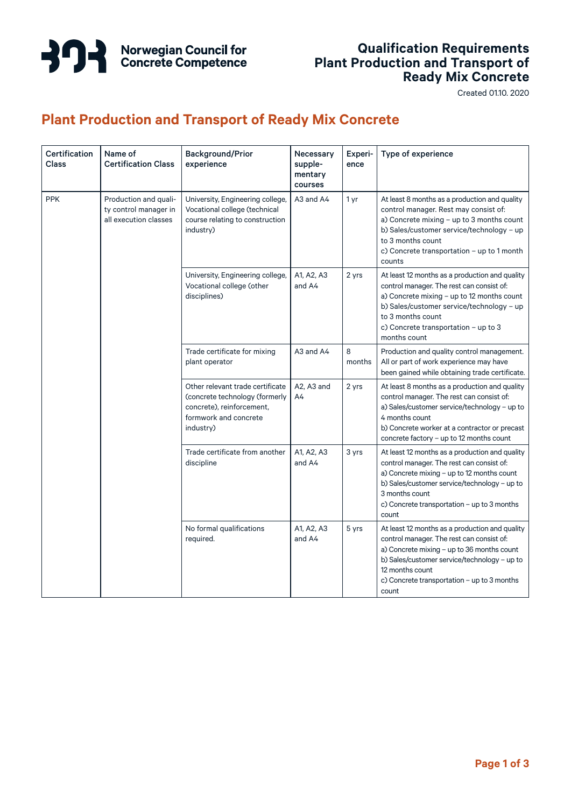

#### **Qualification Requirements Plant Production and Transport of Ready Mix Concrete**

Created 01.10. 2020

### **Plant Production and Transport of Ready Mix Concrete**

| Certification<br><b>Class</b> | Name of<br><b>Certification Class</b>                                   | <b>Background/Prior</b><br>experience                                                                                                 | Necessary<br>supple-<br>mentary<br>courses | Experi-<br>ence | Type of experience                                                                                                                                                                                                                                                   |
|-------------------------------|-------------------------------------------------------------------------|---------------------------------------------------------------------------------------------------------------------------------------|--------------------------------------------|-----------------|----------------------------------------------------------------------------------------------------------------------------------------------------------------------------------------------------------------------------------------------------------------------|
| <b>PPK</b>                    | Production and quali-<br>ty control manager in<br>all execution classes | University, Engineering college,<br>Vocational college (technical<br>course relating to construction<br>industry)                     | A3 and A4                                  | 1 yr            | At least 8 months as a production and quality<br>control manager. Rest may consist of:<br>a) Concrete mixing - up to 3 months count<br>b) Sales/customer service/technology - up<br>to 3 months count<br>c) Concrete transportation - up to 1 month<br>counts        |
|                               |                                                                         | University, Engineering college,<br>Vocational college (other<br>disciplines)                                                         | A1, A2, A3<br>and A4                       | 2 yrs           | At least 12 months as a production and quality<br>control manager. The rest can consist of:<br>a) Concrete mixing - up to 12 months count<br>b) Sales/customer service/technology - up<br>to 3 months count<br>c) Concrete transportation - up to 3<br>months count  |
|                               |                                                                         | Trade certificate for mixing<br>plant operator                                                                                        | A3 and A4                                  | 8<br>months     | Production and quality control management.<br>All or part of work experience may have<br>been gained while obtaining trade certificate.                                                                                                                              |
|                               |                                                                         | Other relevant trade certificate<br>(concrete technology (formerly<br>concrete), reinforcement,<br>formwork and concrete<br>industry) | A2, A3 and<br>A4                           | 2 yrs           | At least 8 months as a production and quality<br>control manager. The rest can consist of:<br>a) Sales/customer service/technology - up to<br>4 months count<br>b) Concrete worker at a contractor or precast<br>concrete factory - up to 12 months count            |
|                               |                                                                         | Trade certificate from another<br>discipline                                                                                          | A1, A2, A3<br>and A4                       | 3 yrs           | At least 12 months as a production and quality<br>control manager. The rest can consist of:<br>a) Concrete mixing - up to 12 months count<br>b) Sales/customer service/technology - up to<br>3 months count<br>c) Concrete transportation - up to 3 months<br>count  |
|                               |                                                                         | No formal qualifications<br>required.                                                                                                 | A1, A2, A3<br>and A4                       | 5 yrs           | At least 12 months as a production and quality<br>control manager. The rest can consist of:<br>a) Concrete mixing - up to 36 months count<br>b) Sales/customer service/technology - up to<br>12 months count<br>c) Concrete transportation – up to 3 months<br>count |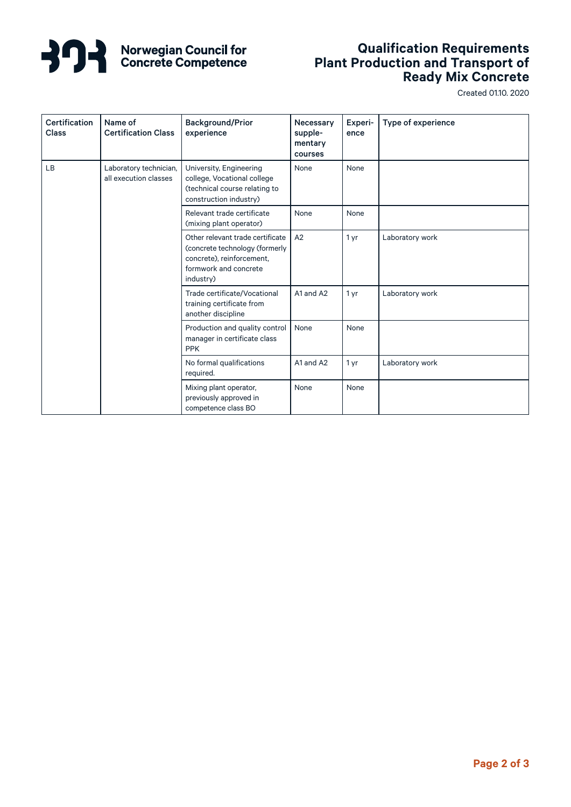

# **Norwegian Council for<br>Concrete Competence**

#### **Qualification Requirements Plant Production and Transport of Ready Mix Concrete**

Created 01.10. 2020

| <b>Certification</b><br><b>Class</b> | Name of<br><b>Certification Class</b>           | <b>Background/Prior</b><br>experience                                                                                                 | Necessary<br>supple-<br>mentary<br>courses | Experi-<br>ence | Type of experience |
|--------------------------------------|-------------------------------------------------|---------------------------------------------------------------------------------------------------------------------------------------|--------------------------------------------|-----------------|--------------------|
| <b>LB</b>                            | Laboratory technician,<br>all execution classes | University, Engineering<br>college, Vocational college<br>(technical course relating to<br>construction industry)                     | None                                       | None            |                    |
|                                      |                                                 | Relevant trade certificate<br>(mixing plant operator)                                                                                 | None                                       | None            |                    |
|                                      |                                                 | Other relevant trade certificate<br>(concrete technology (formerly<br>concrete), reinforcement,<br>formwork and concrete<br>industry) | A2                                         | 1 yr            | Laboratory work    |
|                                      |                                                 | Trade certificate/Vocational<br>training certificate from<br>another discipline                                                       | A1 and A2                                  | 1 yr            | Laboratory work    |
|                                      |                                                 | Production and quality control<br>manager in certificate class<br><b>PPK</b>                                                          | None                                       | None            |                    |
|                                      |                                                 | No formal qualifications<br>required.                                                                                                 | A1 and A2                                  | 1 yr            | Laboratory work    |
|                                      |                                                 | Mixing plant operator,<br>previously approved in<br>competence class BO                                                               | None                                       | None            |                    |